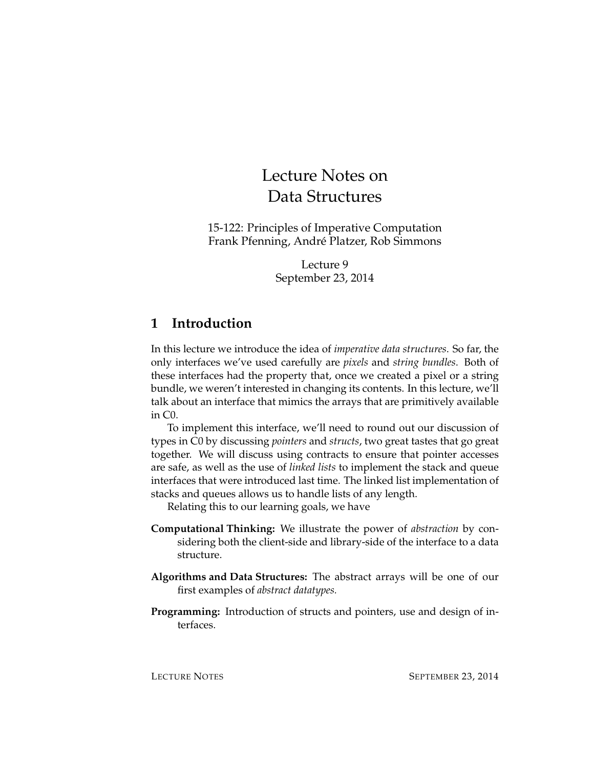# Lecture Notes on Data Structures

15-122: Principles of Imperative Computation Frank Pfenning, André Platzer, Rob Simmons

> Lecture 9 September 23, 2014

# **1 Introduction**

In this lecture we introduce the idea of *imperative data structures*. So far, the only interfaces we've used carefully are *pixels* and *string bundles*. Both of these interfaces had the property that, once we created a pixel or a string bundle, we weren't interested in changing its contents. In this lecture, we'll talk about an interface that mimics the arrays that are primitively available in C0.

To implement this interface, we'll need to round out our discussion of types in C0 by discussing *pointers* and *structs*, two great tastes that go great together. We will discuss using contracts to ensure that pointer accesses are safe, as well as the use of *linked lists* to implement the stack and queue interfaces that were introduced last time. The linked list implementation of stacks and queues allows us to handle lists of any length.

Relating this to our learning goals, we have

- **Computational Thinking:** We illustrate the power of *abstraction* by considering both the client-side and library-side of the interface to a data structure.
- **Algorithms and Data Structures:** The abstract arrays will be one of our first examples of *abstract datatypes.*
- **Programming:** Introduction of structs and pointers, use and design of interfaces.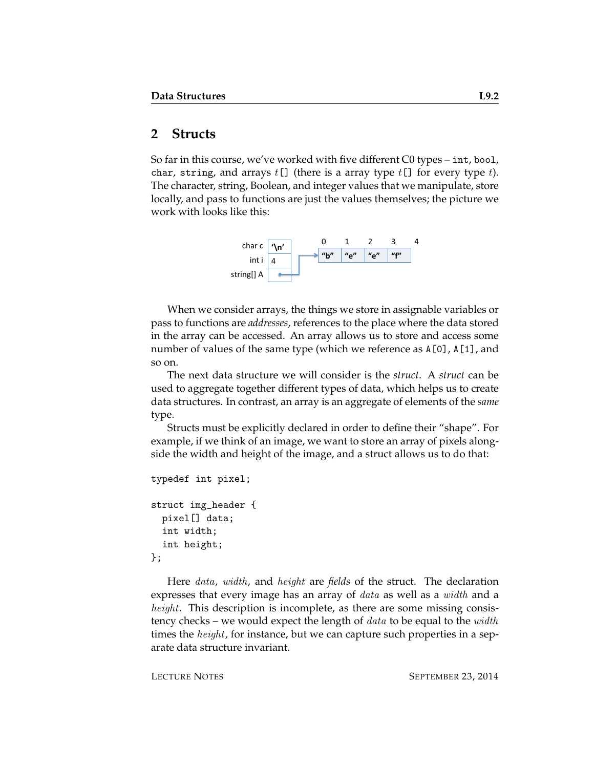## **2 Structs**

So far in this course, we've worked with five different C0 types – int, bool, char, string, and arrays  $t[]$  (there is a array type  $t[]$  for every type  $t$ ). The character, string, Boolean, and integer values that we manipulate, store locally, and pass to functions are just the values themselves; the picture we work with looks like this:



When we consider arrays, the things we store in assignable variables or pass to functions are *addresses*, references to the place where the data stored in the array can be accessed. An array allows us to store and access some number of values of the same type (which we reference as A[0], A[1], and so on.

The next data structure we will consider is the *struct*. A *struct* can be used to aggregate together different types of data, which helps us to create data structures. In contrast, an array is an aggregate of elements of the *same* type.

Structs must be explicitly declared in order to define their "shape". For example, if we think of an image, we want to store an array of pixels alongside the width and height of the image, and a struct allows us to do that:

```
typedef int pixel;
struct img_header {
 pixel[] data;
  int width;
  int height;
};
```
Here data, width, and height are *fields* of the struct. The declaration expresses that every image has an array of *data* as well as a *width* and a height. This description is incomplete, as there are some missing consistency checks – we would expect the length of  $data$  to be equal to the  $width$ times the *height*, for instance, but we can capture such properties in a separate data structure invariant.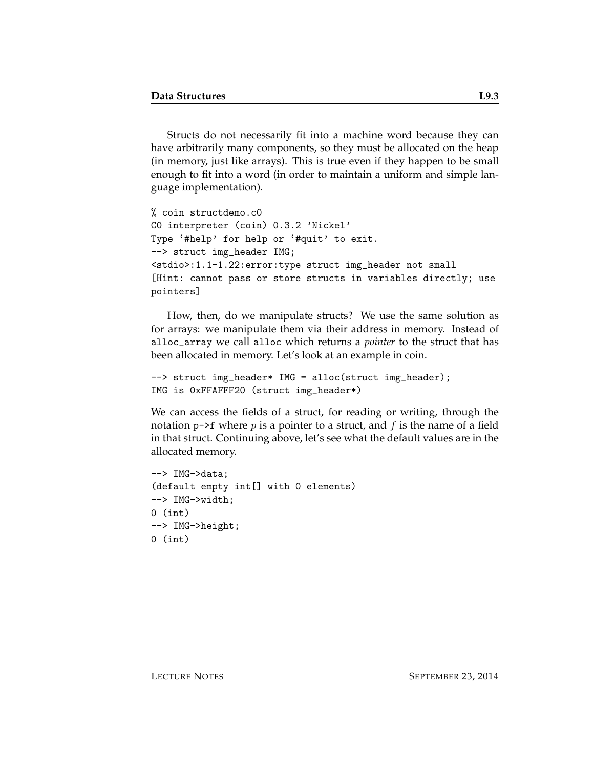Structs do not necessarily fit into a machine word because they can have arbitrarily many components, so they must be allocated on the heap (in memory, just like arrays). This is true even if they happen to be small enough to fit into a word (in order to maintain a uniform and simple language implementation).

```
% coin structdemo.c0
C0 interpreter (coin) 0.3.2 'Nickel'
Type '#help' for help or '#quit' to exit.
--> struct img_header IMG;
<stdio>:1.1-1.22:error:type struct img_header not small
[Hint: cannot pass or store structs in variables directly; use
pointers]
```
How, then, do we manipulate structs? We use the same solution as for arrays: we manipulate them via their address in memory. Instead of alloc\_array we call alloc which returns a *pointer* to the struct that has been allocated in memory. Let's look at an example in coin.

```
--> struct img_header* IMG = alloc(struct img_header);
IMG is 0xFFAFFF20 (struct img_header*)
```
We can access the fields of a struct, for reading or writing, through the notation  $p\rightarrow f$  where p is a pointer to a struct, and f is the name of a field in that struct. Continuing above, let's see what the default values are in the allocated memory.

```
--> IMG->data;
(default empty int[] with 0 elements)
--> IMG->width;
0 (int)
--> IMG->height;
0 (int)
```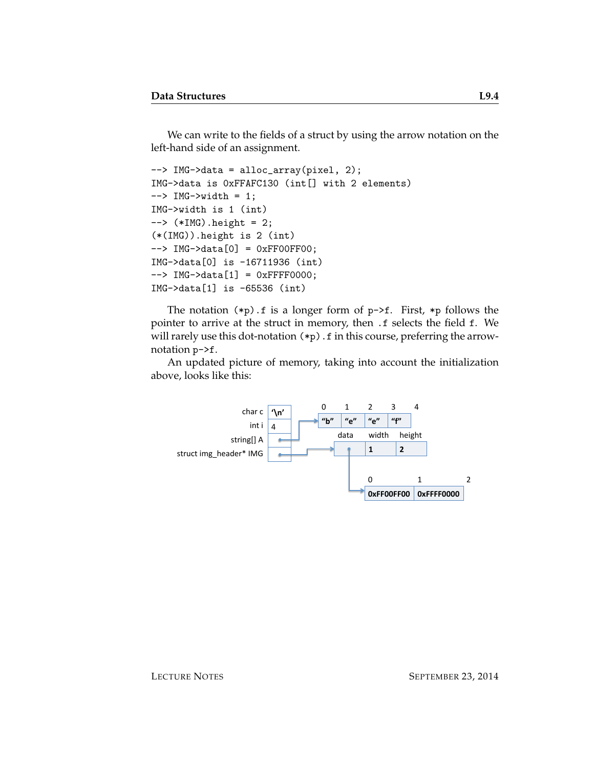We can write to the fields of a struct by using the arrow notation on the left-hand side of an assignment.

```
--> IMG->data = alloc_array(pixel, 2);
IMG->data is 0xFFAFC130 (int[] with 2 elements)
\leftarrow > IMG\rightarrowwidth = 1;
IMG->width is 1 (int)
\leftarrow > (*IMG).height = 2;
(*(IMG)).height is 2 (int)
--> IMG->data[0] = 0xFF00FF00;
IMG->data[0] is -16711936 (int)
--> IMG->data[1] = 0xFFFF0000;
IMG->data[1] is -65536 (int)
```
The notation  $(*p)$ . f is a longer form of  $p\rightarrow f$ . First,  $*p$  follows the pointer to arrive at the struct in memory, then .f selects the field f. We will rarely use this dot-notation  $(*p)$ . f in this course, preferring the arrownotation p->f.

An updated picture of memory, taking into account the initialization above, looks like this:

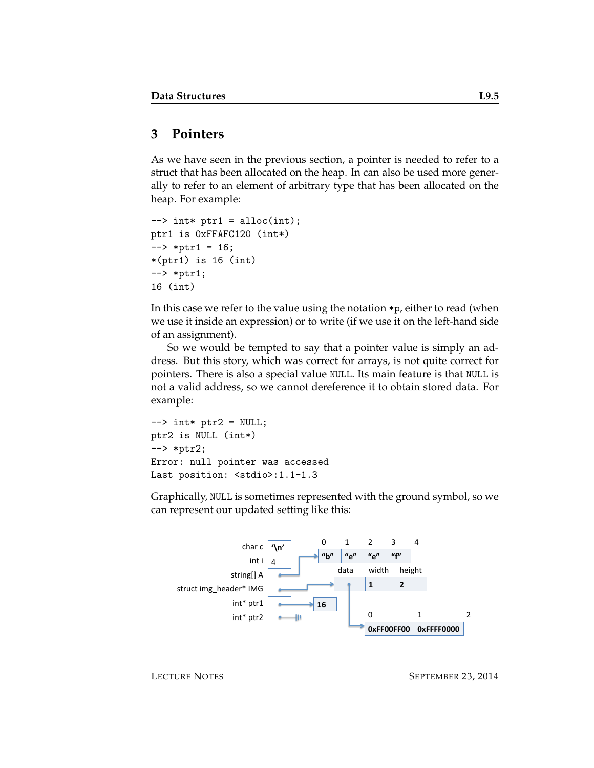## **3 Pointers**

As we have seen in the previous section, a pointer is needed to refer to a struct that has been allocated on the heap. In can also be used more generally to refer to an element of arbitrary type that has been allocated on the heap. For example:

```
\rightarrow int* ptr1 = alloc(int);
ptr1 is 0xFFAFC120 (int*)
\leftarrow *ptr1 = 16;
*(ptr1) is 16 (int)
--> *ptr1;
16 (int)
```
In this case we refer to the value using the notation \*p, either to read (when we use it inside an expression) or to write (if we use it on the left-hand side of an assignment).

So we would be tempted to say that a pointer value is simply an address. But this story, which was correct for arrays, is not quite correct for pointers. There is also a special value NULL. Its main feature is that NULL is not a valid address, so we cannot dereference it to obtain stored data. For example:

```
\leftarrow > int* ptr2 = NULL;
ptr2 is NULL (int*)
--> *ptr2;
Error: null pointer was accessed
Last position: <stdio>:1.1-1.3
```
Graphically, NULL is sometimes represented with the ground symbol, so we can represent our updated setting like this:

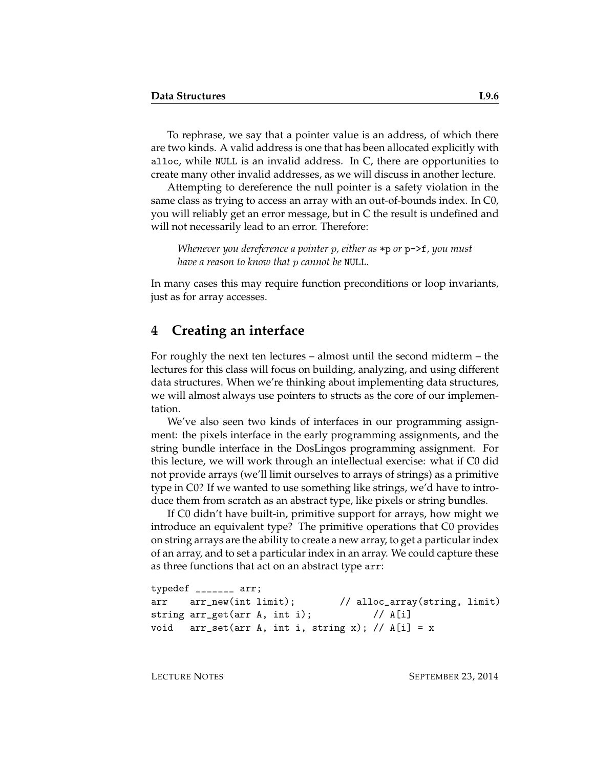To rephrase, we say that a pointer value is an address, of which there are two kinds. A valid address is one that has been allocated explicitly with alloc, while NULL is an invalid address. In C, there are opportunities to create many other invalid addresses, as we will discuss in another lecture.

Attempting to dereference the null pointer is a safety violation in the same class as trying to access an array with an out-of-bounds index. In C0, you will reliably get an error message, but in C the result is undefined and will not necessarily lead to an error. Therefore:

*Whenever you dereference a pointer* p*, either as* \*p *or* p->f*, you must have a reason to know that* p *cannot be* NULL*.*

In many cases this may require function preconditions or loop invariants, just as for array accesses.

#### **4 Creating an interface**

For roughly the next ten lectures – almost until the second midterm – the lectures for this class will focus on building, analyzing, and using different data structures. When we're thinking about implementing data structures, we will almost always use pointers to structs as the core of our implementation.

We've also seen two kinds of interfaces in our programming assignment: the pixels interface in the early programming assignments, and the string bundle interface in the DosLingos programming assignment. For this lecture, we will work through an intellectual exercise: what if C0 did not provide arrays (we'll limit ourselves to arrays of strings) as a primitive type in C0? If we wanted to use something like strings, we'd have to introduce them from scratch as an abstract type, like pixels or string bundles.

If C0 didn't have built-in, primitive support for arrays, how might we introduce an equivalent type? The primitive operations that C0 provides on string arrays are the ability to create a new array, to get a particular index of an array, and to set a particular index in an array. We could capture these as three functions that act on an abstract type arr:

```
typedef _______ arr;
arr arr_new(int limit); // alloc_array(string, limit)
string arr_get(arr A, int i); // A[i]
void arr_set(arr A, int i, string x); // A[i] = x
```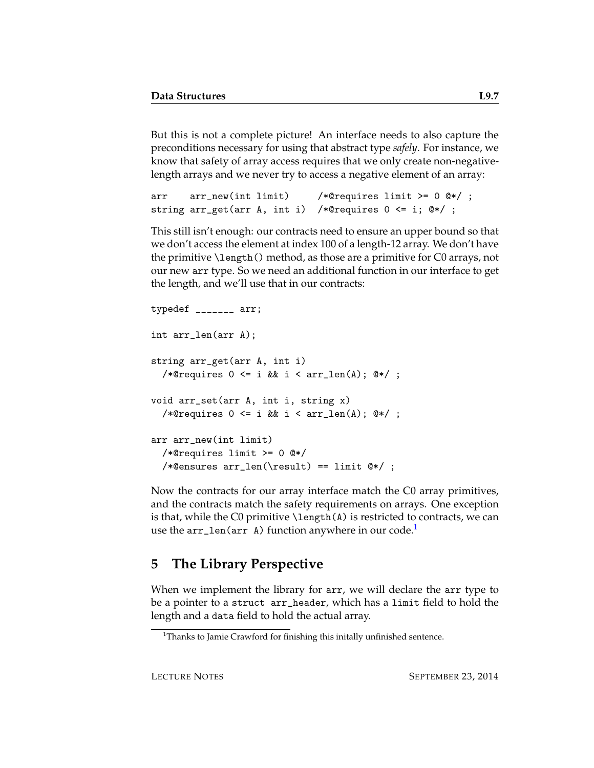But this is not a complete picture! An interface needs to also capture the preconditions necessary for using that abstract type *safely*. For instance, we know that safety of array access requires that we only create non-negativelength arrays and we never try to access a negative element of an array:

```
arr arr_new(int limit) /*@requires limit >= 0 @*/ ;
string arr_get(arr A, int i) /*@requires 0 <= i; @*/ ;
```
This still isn't enough: our contracts need to ensure an upper bound so that we don't access the element at index 100 of a length-12 array. We don't have the primitive \length() method, as those are a primitive for C0 arrays, not our new arr type. So we need an additional function in our interface to get the length, and we'll use that in our contracts:

```
typedef _______ arr;
int arr_len(arr A);
string arr_get(arr A, int i)
  /*@requires 0 \leq i && i < arr_len(A); @*/;
void arr_set(arr A, int i, string x)
  /*@requires 0 \leq i && i < arr_len(A); @*/ ;
arr arr_new(int limit)
  /*@requires limit >= 0 @*/
  /*Qensures arr_length(\result) == limit 0*/;
```
Now the contracts for our array interface match the C0 array primitives, and the contracts match the safety requirements on arrays. One exception is that, while the C0 primitive  $\lambda$  ength $(A)$  is restricted to contracts, we can use the  $arr\_len(arr A)$  function anywhere in our code.<sup>[1](#page-6-0)</sup>

# **5 The Library Perspective**

When we implement the library for arr, we will declare the arr type to be a pointer to a struct arr\_header, which has a limit field to hold the length and a data field to hold the actual array.

<span id="page-6-0"></span><sup>&</sup>lt;sup>1</sup>Thanks to Jamie Crawford for finishing this initally unfinished sentence.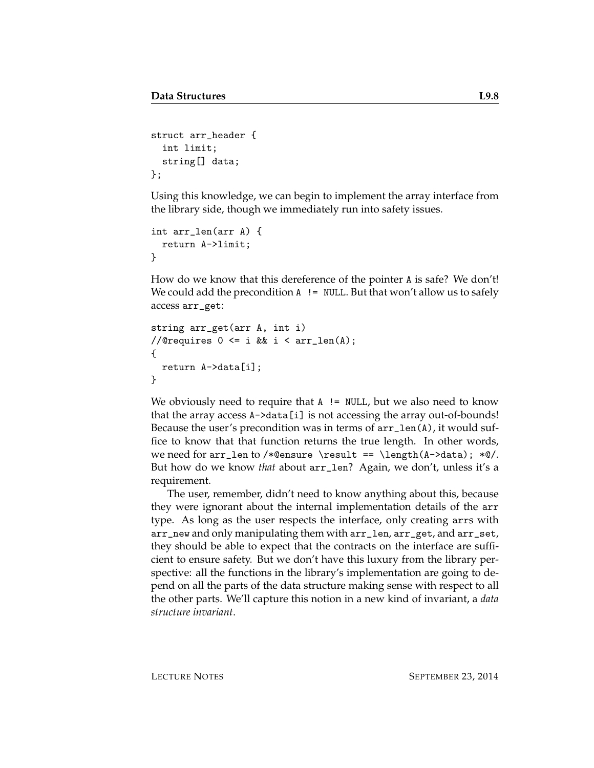```
struct arr_header {
  int limit;
  string[] data;
};
```
Using this knowledge, we can begin to implement the array interface from the library side, though we immediately run into safety issues.

```
int arr_len(arr A) {
  return A->limit;
}
```
How do we know that this dereference of the pointer A is safe? We don't! We could add the precondition  $A$  ! = NULL. But that won't allow us to safely access arr\_get:

```
string arr_get(arr A, int i)
//@requires 0 \leq i & i \leq \arctan(A);
{
  return A->data[i];
}
```
We obviously need to require that  $A$  ! = NULL, but we also need to know that the array access A->data[i] is not accessing the array out-of-bounds! Because the user's precondition was in terms of  $arr\_len(A)$ , it would suffice to know that that function returns the true length. In other words, we need for  $arr_{len}$  to /\*@ensure \result == \length(A->data); \*@/. But how do we know *that* about arr\_len? Again, we don't, unless it's a requirement.

The user, remember, didn't need to know anything about this, because they were ignorant about the internal implementation details of the arr type. As long as the user respects the interface, only creating arrs with arr\_new and only manipulating them with arr\_len, arr\_get, and arr\_set, they should be able to expect that the contracts on the interface are sufficient to ensure safety. But we don't have this luxury from the library perspective: all the functions in the library's implementation are going to depend on all the parts of the data structure making sense with respect to all the other parts. We'll capture this notion in a new kind of invariant, a *data structure invariant*.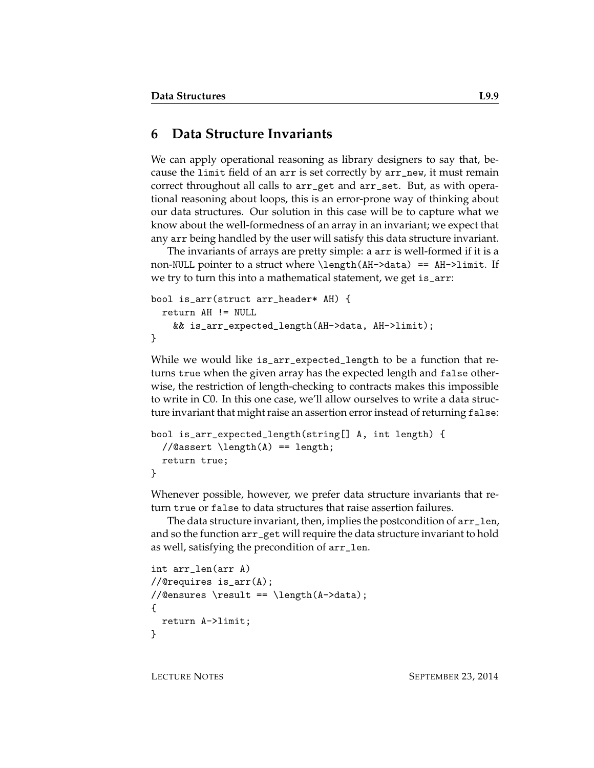### **6 Data Structure Invariants**

We can apply operational reasoning as library designers to say that, because the limit field of an arr is set correctly by arr\_new, it must remain correct throughout all calls to arr\_get and arr\_set. But, as with operational reasoning about loops, this is an error-prone way of thinking about our data structures. Our solution in this case will be to capture what we know about the well-formedness of an array in an invariant; we expect that any arr being handled by the user will satisfy this data structure invariant.

The invariants of arrays are pretty simple: a arr is well-formed if it is a non-NULL pointer to a struct where \length(AH->data) == AH->limit. If we try to turn this into a mathematical statement, we get is\_arr:

```
bool is_arr(struct arr_header* AH) {
  return AH != NULL
    && is_arr_expected_length(AH->data, AH->limit);
}
```
While we would like is\_arr\_expected\_length to be a function that returns true when the given array has the expected length and false otherwise, the restriction of length-checking to contracts makes this impossible to write in C0. In this one case, we'll allow ourselves to write a data structure invariant that might raise an assertion error instead of returning false:

```
bool is_arr_expected_length(string[] A, int length) {
 //Qassert \leq A() == length;return true;
}
```
Whenever possible, however, we prefer data structure invariants that return true or false to data structures that raise assertion failures.

The data structure invariant, then, implies the postcondition of arr\_len, and so the function arr\_get will require the data structure invariant to hold as well, satisfying the precondition of arr\_len.

```
int arr_len(arr A)
//@requires is_arr(A);
//@ensures \result == \length(A->data);
{
  return A->limit;
}
```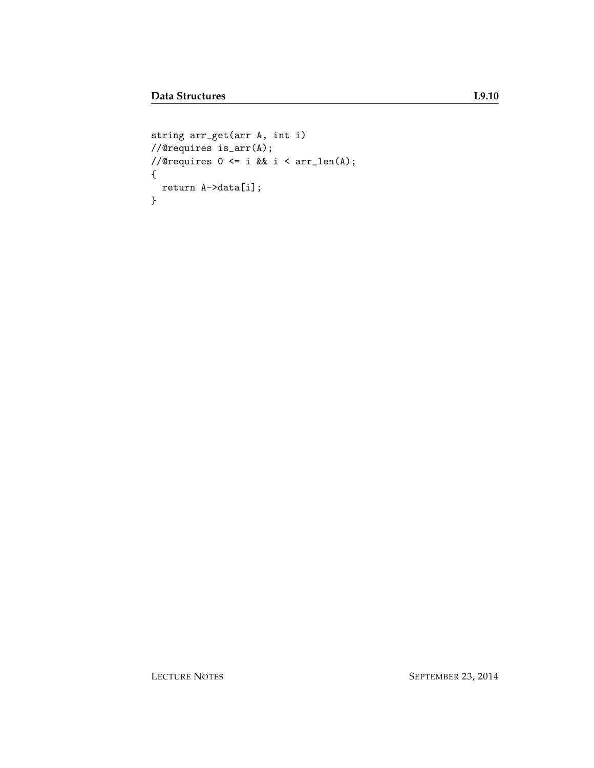```
string arr_get(arr A, int i)
//@requires is_arr(A);
//@requires 0 \leq i & i \leq \arctan(A);
{
 return A->data[i];
}
```